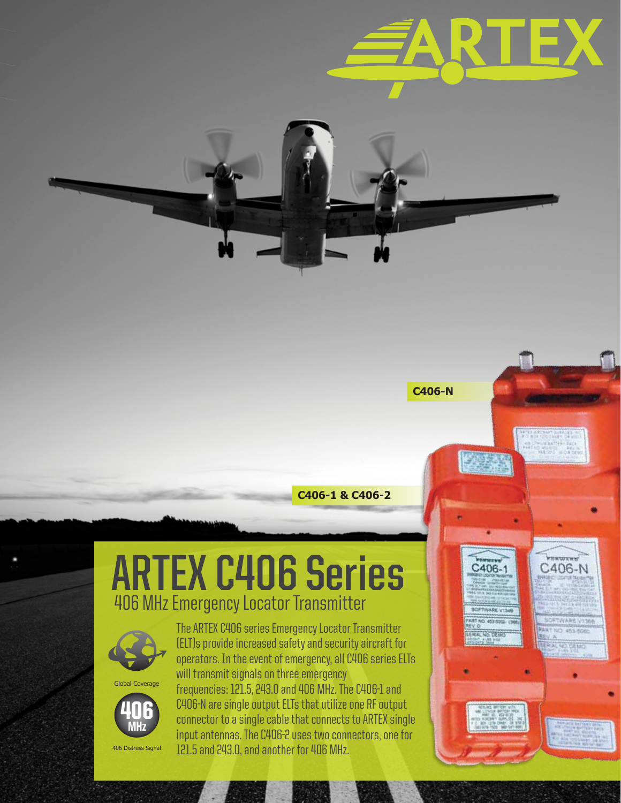



**C406-N**

C406-1

C406-N

**NO OFFIC** 

# **ARTEX C406 Series** 406 MHz Emergency Locator Transmitter



Global Coverage



406 Distress Signal

The ARTEX C406 series Emergency Locator Transmitter (ELT)s provide increased safety and security aircraft for operators. In the event of emergency, all C406 series ELTs will transmit signals on three emergency frequencies: 121.5, 243.0 and 406 MHz. The C406-1 and C406-N are single output ELTs that utilize one RF output connector to a single cable that connects to ARTEX single input antennas. The C406-2 uses two connectors, one for 121.5 and 243.0, and another for 406 MHz.